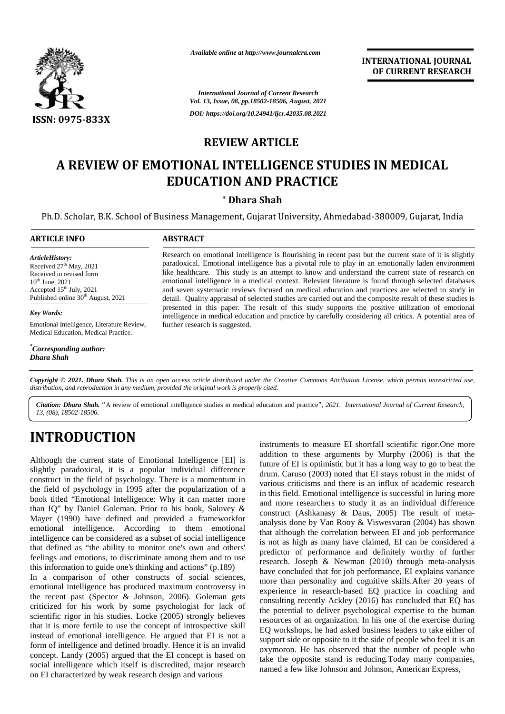

*Available online at http://www.journalcra.com*

**INTERNATIONAL JOURNAL OF CURRENT RESEARCH**

*International Journal of Current Research Vol. 13, Issue, 08, pp.18502-18506, August, 2021 DOI: https://doi.org/10.24941/ijcr.42035.08.2021*

#### **REVIEW ARTICLE**

# **A REVIEW OF EMOTIONAL INTELLIGENCE STUDIES IN MEDICAL EDUCATION AND PRACTICE EDUCATION AND PRACTICE**

#### **\* Dhara Shah \***

Ph.D. Scholar, B.K. School of Business Management, Gujarat University, Ahmedabad-380009, Gujarat, India

#### **ARTICLE INFO ABSTRACT ARTICLE ABSTRACT**

*Article History: Article History: ArticleHistory:* Received  $27<sup>th</sup>$  May,  $2021$ Received 27<sup>th</sup> May, 2021<br>Received in revised form<br>10<sup>th</sup> June. 2021  $10^{\text{th}}$  June, 2021 Accepted  $15<sup>th</sup>$  July, 2021 as Published online  $30<sup>th</sup>$  August, 2021 revised form<br>in 15<sup>th</sup> July, 2021<br>d online 30<sup>th</sup> August, 2021<br>ds:<br>al Intelligence, Literature Reviev<br>Education, Medical Practice.

*Key Words:*

Emotional Intelligence, Literature Review, Medical Education, Medical Practice.

*\*Corresponding author: Dhara Shah*

Research on emotional intelligence is flourishing in recent past but the current state of it is slightly paradoxical. Emotional intelligence has a pivotal role to play in an emotionally laden environment Research on emotional intelligence is flourishing in recent past but the current state of it is slightly paradoxical. Emotional intelligence has a pivotal role to play in an emotionally laden environment like healthcare. T emotional intelligence in a medical context. Relevant literature is found through selected databases emotional and seven systematic reviews focused on medical education and practices are selected to study in detail. Quality appraisal of selected studies are carried out and the composite result of these studies is presented in this paper. The result of this study supports the positive utilization of emotional intelligence in medical education and practice by carefully considering all critics. A potential area of further research is suggested. and seven systematic reviews focused on medical education and practices are selected to study in detail. Quality appraisal of selected studies are carried out and the composite result of these studies is presented in this **EXECUTE:** Research on emotional intelligence is flourishing in recent pair<br>  $\mu$ <sup>th</sup> May, 2021<br>
revised form<br>  $\mu$ <sup>th</sup> July, 2021<br>  $\mu$ <sup>th</sup> July, 2021<br>  $\mu$ <sup>th</sup> July, 2021<br>  $\mu$ <sup>th</sup> July, 2021<br>  $\mu$ <sup>th</sup> July, 2021<br>  $\mu$ <sup></sup>

**Copyright © 2021. Dhara Shah.** This is an open access article distributed under the Creative Commons Attribution License, which permits unrestricted use,<br>distribution, and reproduction in any medium, provided the original *distribution, and reproduction in any medium, provided the original work is properly cited.*

Citation: Dhara Shah. "A review of emotional intelligence studies in medical education and practice", 2021. International Journal of Current Research, *13, (08), 18502-18506.*

# **INTRODUCTION INTRODUCTION**

Although the current state of Emotional Intelligence [EI] is slightly paradoxical, it is a popular individual difference construct in the field of psychology. There is a momentum in Although the current state of Emotional Intelligence [EI] is<br>slightly paradoxical, it is a popular individual difference<br>construct in the field of psychology. There is a momentum in<br>the field of psychology in 1995 after t book titled "Emotional Intelligence: Why it can matter more book titled "Emotional Intelligence: Why it can matter more and more than IQ" by Daniel Goleman. Prior to his book, Salovey  $\&$  construct Mayer (1990) have defined and provided a frameworkfor  $\alpha$ emotional intelligence. According to them emotional emotional intelligence. According to them emotional that intelligence can be considered as a subset of social intelligence  $\frac{d}{dS}$ that defined as "the ability to monitor one's own and others' feelings and emotions, to discriminate among them and to use  $\int_{\text{reco}}^{\text{prec}}$ this information to guide one's thinking and actions" (p.189)

In a comparison of other constructs of social sciences, emotional intelligence has produced maximum controversy in the recent past (Spector & Johnson, 2006). Goleman gets criticized for his work by some psychologist for lack of  $\epsilon$ scientific rigor in his studies. Locke (2005) strongly believes that it is more fertile to use the concept of introspective skill instead of emotional intelligence. He argued that EI is not a form of intelligence and defined broadly. Hence it is an invalid  $\alpha_{\text{sym}}$ concept. Landy (2005) argued that the EI concept is based on social intelligence which itself is discredited, major research on EI characterized by weak research design and various emotional intelligence has produced maximum controversy in<br>the recent past (Spector & Johnson, 2006). Goleman gets<br>criticized for his work by some psychologist for lack of<br>scientific rigor in his studies. Locke (2005) str instead of emotional intelligence. He argued that EI is not a<br>form of intelligence and defined broadly. Hence it is an invalid<br>concept. Landy (2005) argued that the EI concept is based on

instruments to measure EI shortfall scientific rigor.One more addition to these arguments by Murphy (2006) is that the future of EI is optimistic but it has a long way to go to beat the drum. Caruso (2003) noted that EI stays robust in the midst of various criticisms and there is an influx of academic research in this field. Emotional intelligence is successful in luring more and more researchers to study it as an individual difference construct (Ashkanasy & Daus, 2005) The result of meta analysis done by Van Rooy & Viswesvaran (2004) has shown that although the correlation between EI and job performance is not as high as many have claimed, EI can be considered a predictor of performance and definitely worthy of further research. Joseph & Newman (2010) through meta-analysis have concluded that for job performance, EI explains variance more than personality and cognitive skills.After 20 years of experience in research-based EQ practice in coaching and consulting recently Ackley (2016) has concluded that EQ has the potential to deliver psychological expertise to the human resources of an organization. In his one of the exercise during EQ workshops, he had asked business leaders to take either of support side or opposite to it the side of people who feel it is an oxymoron. He has observed that the number of people who take the opposite stand is reducing.Today many companies, named a few like Johnson and Johnson, American Express, **Example the current state of Emotional Intelligence [EI] is addition to these arguments by Murphy (2006) is that the substrained state of Emotional Intelligence [EI] is optimal content in the fit is optimal interval diffe** THE VALUE OF EMOTION INTELLIGENCE STUDIES IN MEDICAL<br>
THE VALUE ARTICLE CONTENT AND PRACTICE<br>
THE VALUE ARTICLE CONTENT AND PRACTICE<br>
THE VALUE ARTIFICE CONTENT AND PRACTICE<br>
THE VALUE ARTIFICE CONTENT AND PRACTICE CONTEN ne correlation between<br>as many have claimed,<br>erformance and defin<br>bh & Newman (2010)<br>1 that for job performan<br>sonality and cognitive<br>research-based EQ pr<br>ntly Ackley (2016) has<br>o deliver psychological<br>organization. In his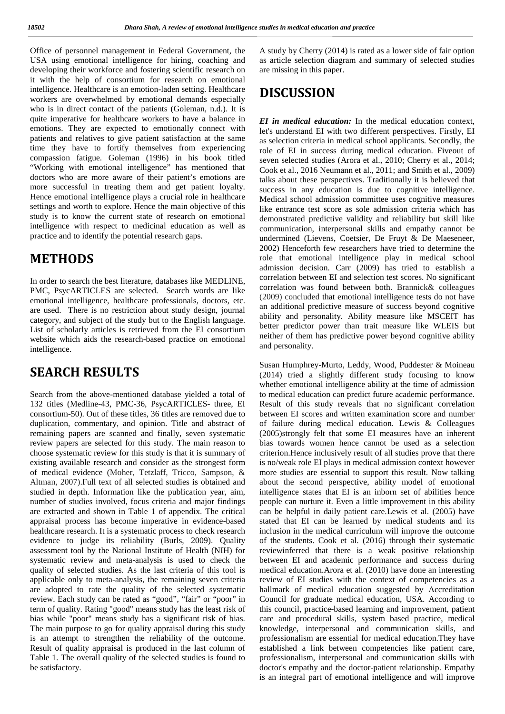Office of personnel management in Federal Government, the A st USA using emotional intelligence for hiring, coaching and developing their workforce and fostering scientific research on it with the help of consortium for research on emotional intelligence. Healthcare is an emotion-laden setting. Healthcare workers are overwhelmed by emotional demands especially who is in direct contact of the patients (Goleman, n.d.). It is quite imperative for healthcare workers to have a balance in emotions. They are expected to emotionally connect with patients and relatives to give patient satisfaction at the same time they have to fortify themselves from experiencing compassion fatigue. Goleman (1996) in his book titled "Working with emotional intelligence" has mentioned that doctors who are more aware of their patient's emotions are more successful in treating them and get patient loyalty. Hence emotional intelligence plays a crucial role in healthcare settings and worth to explore. Hence the main objective of this study is to know the current state of research on emotional intelligence with respect to medicinal education as well as practice and to identify the potential research gaps.

#### **METHODS**

In order to search the best literature, databases like MEDLINE, PMC, PsycARTICLES are selected. Search words are like emotional intelligence, healthcare professionals, doctors, etc. are used. There is no restriction about study design, journal category, and subject of the study but to the English language. List of scholarly articles is retrieved from the EI consortium website which aids the research-based practice on emotional intelligence.

## **SEARCH RESULTS**

Search from the above-mentioned database yielded a total of 132 titles (Medline-43, PMC-36, PsycARTICLES- three, EI consortium-50). Out of these titles, 36 titles are removed due to duplication, commentary, and opinion. Title and abstract of remaining papers are scanned and finally, seven systematic review papers are selected for this study. The main reason to choose systematic review for this study is that it is summary of existing available research and consider as the strongest form of medical evidence (Moher, Tetzlaff, Tricco, Sampson, & Altman, 2007).Full text of all selected studies is obtained and studied in depth. Information like the publication year, aim, number of studies involved, focus criteria and major findings are extracted and shown in Table 1 of appendix. The critical appraisal process has become imperative in evidence-based healthcare research. It is a systematic process to check research evidence to judge its reliability (Burls, 2009). Quality assessment tool by the National Institute of Health (NIH) for systematic review and meta-analysis is used to check the quality of selected studies. As the last criteria of this tool is applicable only to meta-analysis, the remaining seven criteria are adopted to rate the quality of the selected systematic review. Each study can be rated as "good", "fair" or "poor" in term of quality. Rating "good" means study has the least risk of bias while "poor" means study has a significant risk of bias. The main purpose to go for quality appraisal during this study is an attempt to strengthen the reliability of the outcome. Result of quality appraisal is produced in the last column of Table 1. The overall quality of the selected studies is found to be satisfactory.

A study by Cherry (2014) is rated as a lower side of fair option as article selection diagram and summary of selected studies are missing in this paper.

# **DISCUSSION**

*EI in medical education:* In the medical education context, let's understand EI with two different perspectives. Firstly, EI as selection criteria in medical school applicants. Secondly, the role of EI in success during medical education. Fiveout of seven selected studies (Arora et al., 2010; Cherry et al., 2014; Cook et al., 2016 Neumann et al., 2011; and Smith et al., 2009) talks about these perspectives. Traditionally it is believed that success in any education is due to cognitive intelligence. Medical school admission committee uses cognitive measures like entrance test score as sole admission criteria which has demonstrated predictive validity and reliability but skill like communication, interpersonal skills and empathy cannot be undermined (Lievens, Coetsier, De Fruyt & De Maeseneer, 2002) Henceforth few researchers have tried to determine the role that emotional intelligence play in medical school admission decision. Carr (2009) has tried to establish a correlation between EI and selection test scores. No significant correlation was found between both. Brannick& colleagues (2009) concluded that emotional intelligence tests do not have an additional predictive measure of success beyond cognitive ability and personality. Ability measure like MSCEIT has better predictor power than trait measure like WLEIS but neither of them has predictive power beyond cognitive ability and personality.

Susan Humphrey-Murto, Leddy, Wood, Puddester & Moineau (2014) tried a slightly different study focusing to know whether emotional intelligence ability at the time of admission to medical education can predict future academic performance. Result of this study reveals that no significant correlation between EI scores and written examination score and number of failure during medical education. Lewis & Colleagues (2005)strongly felt that some EI measures have an inherent bias towards women hence cannot be used as a selection criterion.Hence inclusively result of all studies prove that there is no/weak role EI plays in medical admission context however more studies are essential to support this result. Now talking about the second perspective, ability model of emotional intelligence states that EI is an inborn set of abilities hence people can nurture it. Even a little improvement in this ability can be helpful in daily patient care.Lewis et al. (2005) have stated that EI can be learned by medical students and its inclusion in the medical curriculum will improve the outcome of the students. Cook et al. (2016) through their systematic reviewinferred that there is a weak positive relationship between EI and academic performance and success during medical education.Arora et al. (2010) have done an interesting review of EI studies with the context of competencies as a hallmark of medical education suggested by Accreditation Council for graduate medical education, USA. According to this council, practice-based learning and improvement, patient care and procedural skills, system based practice, medical knowledge, interpersonal and communication skills, and professionalism are essential for medical education.They have established a link between competencies like patient care, professionalism, interpersonal and communication skills with doctor's empathy and the doctor-patient relationship. Empathy is an integral part of emotional intelligence and will improve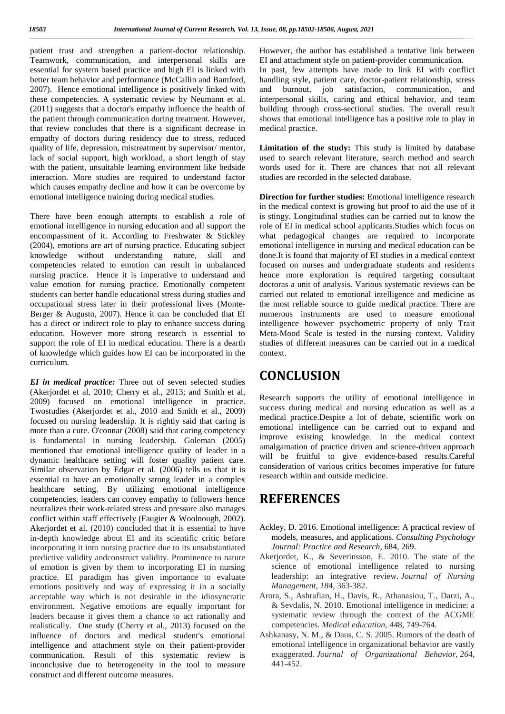patient trust and strengthen a patient-doctor relationship. 1 Teamwork, communication, and interpersonal skills are essential for system based practice and high EI is linked with better team behavior and performance (McCallin and Bamford, 2007). Hence emotional intelligence is positively linked with these competencies. A systematic review by Neumann et al. (2011) suggests that a doctor's empathy influence the health of the patient through communication during treatment. However, that review concludes that there is a significant decrease in empathy of doctors during residency due to stress, reduced quality of life, depression, mistreatment by supervisor/ mentor, lack of social support, high workload, a short length of stay with the patient, unsuitable learning environment like bedside interaction. More studies are required to understand factor which causes empathy decline and how it can be overcome by emotional intelligence training during medical studies.

There have been enough attempts to establish a role of emotional intelligence in nursing education and all support the encompassment of it. According to Freshwater & Stickley (2004), emotions are art of nursing practice. Educating subject knowledge without understanding nature, skill and competencies related to emotion can result in unbalanced nursing practice. Hence it is imperative to understand and value emotion for nursing practice. Emotionally competent students can better handle educational stress during studies and occupational stress later in their professional lives (Monte- Berger & Augusto, 2007). Hence it can be concluded that EI has a direct or indirect role to play to enhance success during education. However more strong research is essential to support the role of EI in medical education. There is a dearth of knowledge which guides how EI can be incorporated in the curriculum.

*EI in medical practice:* Three out of seven selected studies (Akerjordet et al, 2010; Cherry et al., 2013; and Smith et al, 2009) focused on emotional intelligence in practice. Twostudies (Akerjordet et al., 2010 and Smith et al., 2009) focused on nursing leadership. It is rightly said that caring is more than a cure. O'connar (2008) said that caring competency is fundamental in nursing leadership. Goleman (2005) mentioned that emotional intelligence quality of leader in a dynamic healthcare setting will foster quality patient care. Similar observation by Edgar et al. (2006) tells us that it is essential to have an emotionally strong leader in a complex healthcare setting. By utilizing emotional intelligence competencies, leaders can convey empathy to followers hence neutralizes their work-related stress and pressure also manages conflict within staff effectively (Faugier & Woolnough, 2002). Akeriordet et al. (2010) concluded that it is essential to have in-depth knowledge about EI and its scientific critic before incorporating it into nursing practice due to its unsubstantiated predictive validity andconstruct validity. Prominence to nature of emotion is given by them to incorporating EI in nursing practice. EI paradigm has given importance to evaluate emotions positively and way of expressing it in a socially acceptable way which is not desirable in the idiosyncratic environment. Negative emotions are equally important for leaders because it gives them a chance to act rationally and realistically. One study (Cherry et al., 2013) focused on the influence of doctors and medical student's emotional intelligence and attachment style on their patient-provider communication. Result of this systematic review is inconclusive due to heterogeneity in the tool to measure construct and different outcome measures.

However, the author has established a tentative link between EI and attachment style on patient-provider communication. In past, few attempts have made to link EI with conflict handling style, patient care, doctor-patient relationship, stress and burnout, job satisfaction, communication, and interpersonal skills, caring and ethical behavior, and team building through cross-sectional studies. The overall result shows that emotional intelligence has a positive role to play in medical practice.

**Limitation of the study:** This study is limited by database used to search relevant literature, search method and search words used for it. There are chances that not all relevant studies are recorded in the selected database.

**Direction for further studies:** Emotional intelligence research in the medical context is growing but proof to aid the use of it is stingy. Longitudinal studies can be carried out to know the role of EI in medical school applicants.Studies which focus on what pedagogical changes are required to incorporate emotional intelligence in nursing and medical education can be done.It is found that majority of EI studies in a medical context focused on nurses and undergraduate students and residents hence more exploration is required targeting consultant doctoras a unit of analysis. Various systematic reviews can be carried out related to emotional intelligence and medicine as the most reliable source to guide medical practice. There are numerous instruments are used to measure emotional intelligence however psychometric property of only Trait Meta-Mood Scale is tested in the nursing context. Validity studies of different measures can be carried out in a medical context.

## **CONCLUSION**

Research supports the utility of emotional intelligence in success during medical and nursing education as well as a medical practice.Despite a lot of debate, scientific work on emotional intelligence can be carried out to expand and improve existing knowledge. In the medical context amalgamation of practice driven and science-driven approach will be fruitful to give evidence-based results.Careful consideration of various critics becomes imperative for future research within and outside medicine.

## **REFERENCES**

- Ackley, D. 2016. Emotional intelligence: A practical review of models, measures, and applications. *Consulting Psychology Journal: Practice and Research*, 684, 269.
- Akerjordet, K., & Severinsson, E. 2010. The state of the science of emotional intelligence related to nursing leadership: an integrative review. *Journal of Nursing Management*, *18*4, 363-382.
- Arora, S., Ashrafian, H., Davis, R., Athanasiou, T., Darzi, A., & Sevdalis, N. 2010. Emotional intelligence in medicine: a systematic review through the context of the ACGME competencies. *Medical education*, *44*8, 749-764.
- Ashkanasy, N. M., & Daus, C. S. 2005. Rumors of the death of emotional intelligence in organizational behavior are vastly exaggerated. *Journal of Organizational Behavior*, *26*4, 441-452.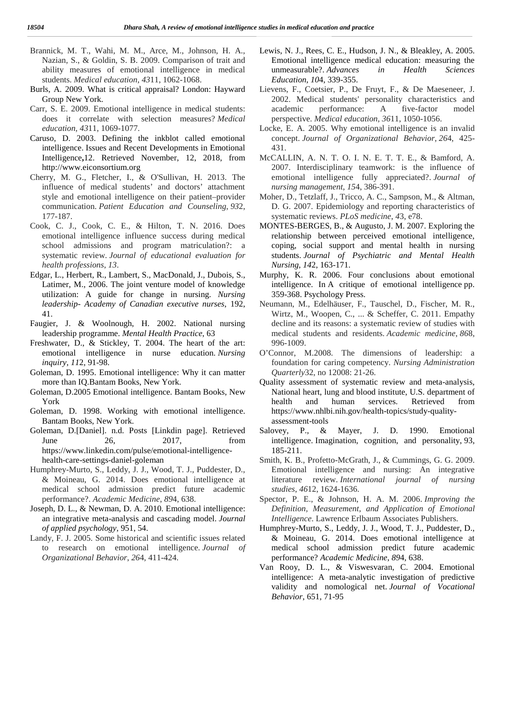- Brannick, M. T., Wahi, M. M., Arce, M., Johnson, H. A., Nazian, S., & Goldin, S. B. 2009. Comparison of trait and ability measures of emotional intelligence in medical students. *Medical education*, *43*11, 1062-1068.
- Burls, A. 2009. What is critical appraisal? London: Hayward Group New York.
- Carr, S. E. 2009. Emotional intelligence in medical students: does it correlate with selection measures? *Medical education*, *43*11, 1069-1077.
- Caruso, D. 2003. Defining the inkblot called emotional intelligence. Issues and Recent Developments in Emotional Intelligence**,**12. Retrieved November, 12, 2018, from http://www.eiconsortium.org
- Cherry, M. G., Fletcher, I., & O'Sullivan, H. 2013. The influence of medical students' and doctors' attachment style and emotional intelligence on their patient–provider communication. *Patient Education and Counseling*, *93*2, 177-187.
- Cook, C. J., Cook, C. E., & Hilton, T. N. 2016. Does emotional intelligence influence success during medical school admissions and program matriculation?: a systematic review. *Journal of educational evaluation for health professions*, *13*.
- Edgar, L., Herbert, R., Lambert, S., MacDonald, J., Dubois, S., Latimer, M., 2006. The joint venture model of knowledge utilization: A guide for change in nursing. *Nursing leadership- Academy of Canadian executive nurses*, 192, 41.
- Faugier, J. & Woolnough, H. 2002. National nursing leadership programme. *Mental Health Practice*, 63
- Freshwater, D., & Stickley, T. 2004. The heart of the art: emotional intelligence in nurse education. *Nursing inquiry*, *11*2, 91-98.
- Goleman, D. 1995. Emotional intelligence: Why it can matter more than IQ.Bantam Books, New York.
- Goleman, D.2005 Emotional intelligence. Bantam Books, New York
- Goleman, D. 1998. Working with emotional intelligence. Bantam Books, New York.
- Goleman, D.[Daniel]. n.d. Posts [Linkdin page]. Retrieved June 26, 2017, from intellig https://www.linkedin.com/pulse/emotional-intelligence health-care-settings-daniel-goleman
- Humphrey-Murto, S., Leddy, J. J., Wood, T. J., Puddester, D., & Moineau, G. 2014. Does emotional intelligence at medical school admission predict future academic performance?. *Academic Medicine*, *89*4, 638.
- Joseph, D. L., & Newman, D. A. 2010. Emotional intelligence: an integrative meta-analysis and cascading model. *Journal of applied psychology*, 951, 54.
- Landy, F. J. 2005. Some historical and scientific issues related to research on emotional intelligence. *Journal of Organizational Behavior*, *26*4, 411-424.
- Lewis, N. J., Rees, C. E., Hudson, J. N., & Bleakley, A. 2005. Emotional intelligence medical education: measuring the unmeasurable?. *Advances in Health Sciences Education*, *10*4, 339-355.
- Lievens, F., Coetsier, P., De Fruyt, F., & De Maeseneer, J. 2002. Medical students' personality characteristics and academic performance: A five factor model perspective. *Medical education*, *36*11, 1050-1056.
- Locke, E. A. 2005. Why emotional intelligence is an invalid concept. *Journal of Organizational Behavior*, *26*4, 425- 431.
- McCALLIN, A. N. T. O. I. N. E. T. T. E., & Bamford, A. 2007. Interdisciplinary teamwork: is the influence of emotional intelligence fully appreciated?. *Journal of nursing management*, *15*4, 386-391.
- Moher, D., Tetzlaff, J., Tricco, A. C., Sampson, M., & Altman, D. G. 2007. Epidemiology and reporting characteristics of systematic reviews. *PLoS medicine*, *4*3, e78.
- MONTES BERGES, B., & Augusto, J. M. 2007. Exploring the relationship between perceived emotional intelligence, coping, social support and mental health in nursing students. *Journal of Psychiatric and Mental Health Nursing*, *14*2, 163-171.
- Murphy, K. R. 2006. Four conclusions about emotional intelligence. In A critique of emotional intelligence pp. 359-368. Psychology Press.
- Neumann, M., Edelhäuser, F., Tauschel, D., Fischer, M. R., Wirtz, M., Woopen, C., ... & Scheffer, C. 2011. Empathy decline and its reasons: a systematic review of studies with medical students and residents. *Academic medicine*, *86*8, 996-1009.
- O'Connor, M.2008. The dimensions of leadership: a foundation for caring competency. *Nursing Administration Quarterly*32, no 12008: 21-26.
- Quality assessment of systematic review and meta-analysis, National heart, lung and blood institute, U.S. department of health and human services. Retrieved from https://www.nhlbi.nih.gov/health-topics/study-quality assessment-tools
- Salovey, P., & Mayer, J. D. 1990. Emotional intelligence. Imagination, cognition, and personality, 93, 185-211.
- Smith, K. B., Profetto-McGrath, J., & Cummings, G. G. 2009. Emotional intelligence and nursing: An integrative literature review. *International journal of nursing studies*, *46*12, 1624-1636.
- Spector, P. E., & Johnson, H. A. M. 2006. *Improving the Definition, Measurement, and Application of Emotional Intelligence*. Lawrence Erlbaum Associates Publishers.
- Humphrey-Murto, S., Leddy, J. J., Wood, T. J., Puddester, D., & Moineau, G. 2014. Does emotional intelligence at medical school admission predict future academic performance? *Academic Medicine*, *89*4, 638.
- Van Rooy, D. L., & Viswesvaran, C. 2004. Emotional intelligence: A meta-analytic investigation of predictive validity and nomological net. *Journal of Vocational Behavior*, 651, 71-95